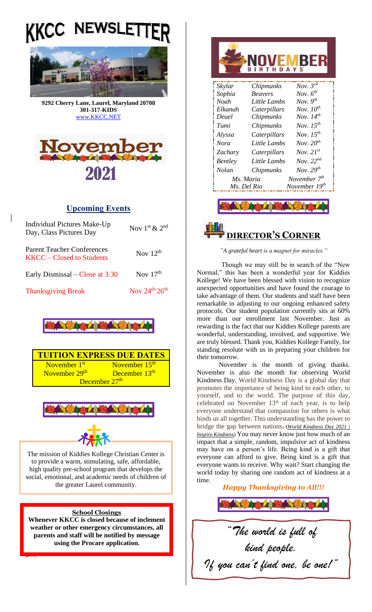# **NEWSLE** KKCC



**9292 Cherry Lane, Laurel, Maryland 20708 301-317-KIDS**  [www.KKCC.NET](http://www.kkcc.net/)



### **Upcoming Events**

 $\mathsf{l}$ 

| Individual Pictures Make-Up<br>Day, Class Pictures Day           | Nov $1^{\text{st}}$ & $2^{\text{nd}}$  |
|------------------------------------------------------------------|----------------------------------------|
| <b>Parent Teacher Conferences</b><br>$KKCC - Closed$ to Students | Nov $12th$                             |
| Early Dismissal – Close at 3:30                                  | Nov $17th$                             |
| <b>Thanksgiving Break</b>                                        | Nov $24^{\text{th}}$ -26 <sup>th</sup> |









The mission of Kiddies Kollege Christian Center is to provide a warm, stimulating, safe, affordable, high quality pre-school program that develops the social, emotional, and academic needs of children of the greater Laurel community.

### **School Closings**

**Whenever KKCC is closed because of inclement weather or other emergency circumstances, all parents and staff will be notified by message using the Procare application.**

| <b>IVEMBER</b><br><b>AYS</b>          |                  |                           |
|---------------------------------------|------------------|---------------------------|
| Skylar                                | Chipmunks        | Nov. $3^{rd}$             |
| Sophia                                | <b>Beavers</b>   | Nov. $6^{th}$             |
| Noah                                  | Little Lambs     | Nov. $9^{th}$             |
| Elkanah                               | Caterpillars     | Nov. $10^{th}$            |
| Deuel                                 | Chipmunks        | Nov. $14^{th}$            |
| Tumi                                  | <i>Chipmunks</i> | Nov. $15^{th}$            |
| Alyssa                                | Caterpillars     | Nov. $15^{th}$            |
| <b>Nora</b>                           | Little Lambs     | Nov. $20^{th}$            |
| Zachary                               | Caterpillars     | Nov. $21^{st}$            |
| <b>Bentley</b>                        | Little Lambs     | Nov. $22^{nd}$            |
| Nolan                                 | Chipmunks        | Nov. $29^{th}$            |
| November 7 <sup>th</sup><br>Ms. Maria |                  |                           |
|                                       | Ms. Del Rio      | November 19 <sup>th</sup> |
|                                       |                  |                           |



*"A grateful heart is a magnet for miracles."*

Though we may still be in search of the "New Normal," this has been a wonderful year for Kiddies Kollege! We have been blessed with vision to recognize unexpected opportunities and have found the courage to take advantage of them. Our students and staff have been remarkable in adjusting to our ongoing enhanced safety protocols. Our student population currently sits at 60% more than our enrollment last November. Just as rewarding is the fact that our Kiddies Kollege parents are wonderful, understanding, involved, and supportive. We are truly blessed. Thank you, Kiddies Kollege Family, for standing resolute with us in preparing your children for their tomorrow.

November is the month of giving thanks. November is also the month for observing World Kindness Day. World Kindness Day is a global day that promotes the importance of being kind to each other, to yourself, and to the world. The purpose of this day, celebrated on November  $13<sup>th</sup>$  of each year, is to help everyone understand that compassion for others is what binds us all together. This understanding has the power to bridge the gap between nations**. (***[World Kindness Day 2021 |](https://inspirekindness.com/world-kindness-day)  [Inspire Kindness](https://inspirekindness.com/world-kindness-day)*) You may never know just how much of an impact that a simple, random, impulsive act of kindness may have on a person's life. Being kind is a gift that everyone can afford to give. Being kind is a gift that everyone wants to receive. Why wait? Start changing the world today by sharing one random act of kindness at a time.

*Happy Thanksgiving to All!!!*

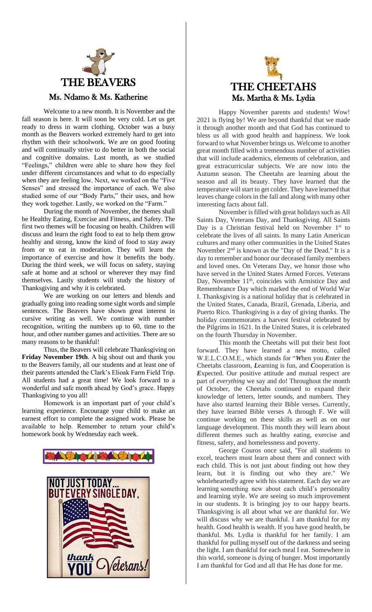

Welcome to a new month. It is November and the fall season is here. It will soon be very cold. Let us get ready to dress in warm clothing. October was a busy month as the Beavers worked extremely hard to get into rhythm with their schoolwork. We are on good footing and will continually strive to do better in both the social and cognitive domains. Last month, as we studied "Feelings," children were able to share how they feel under different circumstances and what to do especially when they are feeling low. Next, we worked on the "Five Senses" and stressed the importance of each. We also studied some of our "Body Parts," their uses, and how they work together. Lastly, we worked on the "Farm."

During the month of November, the themes shall be Healthy Eating, Exercise and Fitness, and Safety. The first two themes will be focusing on health. Children will discuss and learn the right food to eat to help them grow healthy and strong, know the kind of food to stay away from or to eat in moderation. They will learn the importance of exercise and how it benefits the body. During the third week, we will focus on safety, staying safe at home and at school or wherever they may find themselves. Lastly students will study the history of Thanksgiving and why it is celebrated.

We are working on our letters and blends and gradually going into reading some sight words and simple sentences. The Beavers have shown great interest in cursive writing as well. We continue with number recognition, writing the numbers up to 60, time to the hour, and other number games and activities. There are so many reasons to be thankful!

Thus, the Beavers will celebrate Thanksgiving on **Friday November 19th**. A big shout out and thank you to the Beavers family, all our students and at least one of their parents attended the Clark's Elioak Farm Field Trip. All students had a great time! We look forward to a wonderful and safe month ahead by God's grace. Happy Thanksgiving to you all!

Homework is an important part of your child's learning experience. Encourage your child to make an earnest effort to complete the assigned work. Please be available to help. Remember to return your child's homework book by Wednesday each week.





Happy November parents and students! Wow! 2021 is flying by! We are beyond thankful that we made it through another month and that God has continued to bless us all with good health and happiness. We look forward to what November brings us. Welcome to another great month filled with a tremendous number of activities that will include academics, elements of celebration, and great extracurricular subjects. We are now into the Autumn season. The Cheetahs are learning about the season and all its beauty. They have learned that the temperature will start to get colder. They have learned that leaves change colors in the fall and along with many other interesting facts about fall.

November is filled with great holidays such as All Saints Day, Veterans Day, and Thanksgiving. All Saints Day is a Christian festival held on November 1<sup>st</sup> to celebrate the lives of all saints. In many Latin American cultures and many other communities in the United States November 2nd is known as the "Day of the Dead." It is a day to remember and honor our deceased family members and loved ones. On Veterans Day, we honor those who have served in the United States Armed Forces. Veterans Day, November 11<sup>th</sup>, coincides with Armistice Day and Remembrance Day which marked the end of World War I. Thanksgiving is a national holiday that is celebrated in the United States, Canada, Brazil, Grenada, Liberia, and Puerto Rico. Thanksgiving is a day of giving thanks. The holiday commemorates a harvest festival celebrated by the Pilgrims in 1621. In the United States, it is celebrated on the fourth Thursday in November.

This month the Cheetahs will put their best foot forward. They have learned a new motto, called W.E.L.C.O.M.E., which stands for "*W*hen you *E*nter the Cheetahs classroom, *L*earning is fun, and *C*ooperation is *E*xpected. Our positive attitude and mutual respect are part of *everything* we say and do! Throughout the month of October, the Cheetahs continued to expand their knowledge of letters, letter sounds, and numbers. They have also started learning their Bible verses. Currently, they have learned Bible verses A through F. We will continue working on these skills as well as on our language development. This month they will learn about different themes such as healthy eating, exercise and fitness, safety, and homelessness and poverty.

George Couros once said, "For all students to excel, teachers must learn about them and connect with each child. This is not just about finding out how they learn, but it is finding out who they are." We wholeheartedly agree with his statement. Each day we are learning something new about each child's personality and learning style. We are seeing so much improvement in our students. It is bringing joy to our happy hearts. Thanksgiving is all about what we are thankful for. We will discuss why we are thankful. I am thankful for my health. Good health is wealth. If you have good health, be thankful. Ms. Lydia is thankful for her family. I am thankful for pulling myself out of the darkness and seeing the light. I am thankful for each meal I eat. Somewhere in this world, someone is dying of hunger. Most importantly I am thankful for God and all that He has done for me.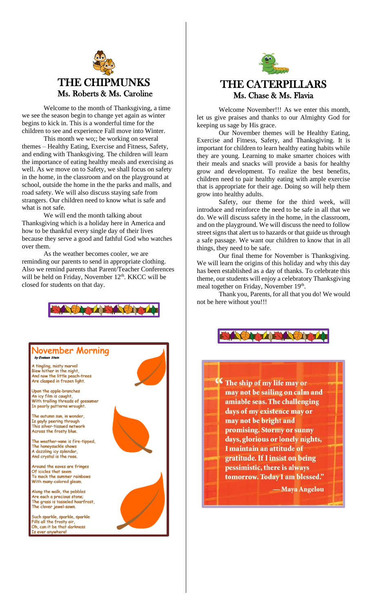

Welcome to the month of Thanksgiving, a time we see the season begin to change yet again as winter begins to kick in. This is a wonderful time for the children to see and experience Fall move into Winter.

This month we wo;; be working on several themes – Healthy Eating, Exercise and Fitness, Safety, and ending with Thanksgiving. The children will learn the importance of eating healthy meals and exercising as well. As we move on to Safety, we shall focus on safety in the home, in the classroom and on the playground at school, outside the home in the the parks and malls, and road safety. We will also discuss staying safe from strangers. Our children need to know what is safe and what is not safe.

We will end the month talking about Thanksgiving which is a holiday here in America and how to be thankful every single day of their lives because they serve a good and fathful God who watches over them.

As the weather becomes cooler, we are reminding our parents to send in appropriate clothing. Also we remind parents that Parent/Teacher Conferences will be held on Friday, November 12<sup>th</sup>. KKCC will be closed for students on that day.



#### Jovember Morning by Evaluen Stein

A tingling, misty marvel<br>Blew hither in the night,<br>And now the little peach-trees Are clasped in frozen light.

Upon the apple-branches An icy film is caught, An icy Tim is cought,<br>With trailing threads of gossamer<br>In pearly patterns wrought.

The autumn sun, in wonder, Is gayly peering through<br>This silver-tissued network Across the frosty blue.

The weather-vane is fire-tipped. The honeysuckle shows<br>A dazzling icy splendor, And crystal is the rose

Around the eaves are fringes Of icicles that seem To mock the summer rainbows With many-colored gleam.

Along the walk, the pebbles Are each a precious stone; The grass is tasseled hoarfrost, The clover jewel-sown

Such sparkle, sparkle, sparkle Fills all the frosty air,<br>Fills all the frosty air,<br>Oh, can it be that darkness Is ever anywhere!





## THE CATERPILLARS Ms. Chase & Ms. Flavia

Welcome November!!! As we enter this month, let us give praises and thanks to our Almighty God for keeping us sage by His grace.

Our November themes will be Healthy Eating, Exercise and Fitness, Safety, and Thanksgiving. It is important for children to learn healthy eating habits while they are young. Learning to make smarter choices with their meals and snacks will provide a basis for healthy grow and development. To realize the best benefits, children need to pair healthy eating with ample exercise that is appropriate for their age. Doing so will help them grow into healthy adults.

Safety, our theme for the third week, will introduce and reinforce the need to be safe in all that we do. We will discuss safety in the home, in the classroom, and on the playground. We will discuss the need to follow street signs that alert us to hazards or that guide us through a safe passage. We want our children to know that in all things, they need to be safe.

Our final theme for November is Thanksgiving. We will learn the origins of this holiday and why this day has been established as a day of thanks. To celebrate this theme, our students will enjoy a celebratory Thanksgiving meal together on Friday, November 19<sup>th</sup>.

Thank you, Parents, for all that you do! We would not be here without you!!!



The ship of my life may or may not be sailing on calm and amiable seas. The challenging days of my existence may or may not be bright and promising. Stormy or sunny days, glorious or lonely nights, I maintain an attitude of gratitude. If I insist on being pessimistic, there is always tomorrow. Today I am blessed."

— Maya Angelou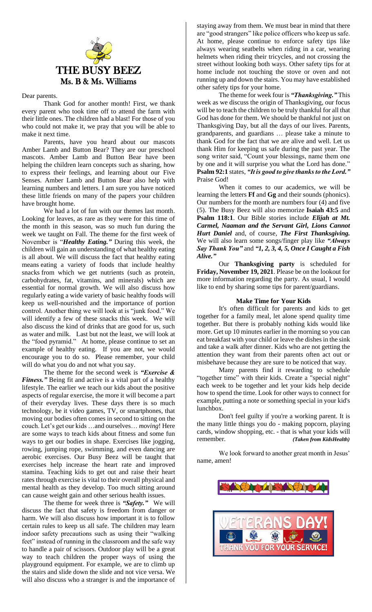

#### Dear parents.

Thank God for another month! First, we thank every parent who took time off to attend the farm with their little ones. The children had a blast! For those of you who could not make it, we pray that you will be able to make it next time.

Parents, have you heard about our mascots Amber Lamb and Button Bear? They are our preschool mascots. Amber Lamb and Button Bear have been helping the children learn concepts such as sharing, how to express their feelings, and learning about our Five Senses. Amber Lamb and Button Bear also help with learning numbers and letters. I am sure you have noticed these little friends on many of the papers your children have brought home.

We had a lot of fun with our themes last month. Looking for leaves, as rare as they were for this time of the month in this season, was so much fun during the week we taught on Fall. The theme for the first week of November is "*Healthy Eating."* During this week, the children will gain an understanding of what healthy eating is all about. We will discuss the fact that healthy eating means eating a variety of foods that include healthy snacks from which we get nutrients (such as protein, carbohydrates, fat, vitamins, and minerals) which are essential for normal growth. We will also discuss how regularly eating a wide variety of basic healthy foods will keep us well-nourished and the importance of portion control. Another thing we will look at is "junk food." We will identify a few of these snacks this week. We will also discuss the kind of drinks that are good for us, such as water and milk. Last but not the least, we will look at the "food pyramid." At home, please continue to set an example of healthy eating. If you are not, we would encourage you to do so. Please remember, your child will do what you do and not what you say.

The theme for the second week is *"Exercise & Fitness."* Being fit and active is a vital part of a healthy lifestyle. The earlier we teach our kids about the positive aspects of regular exercise, the more it will become a part of their everyday lives. These days there is so much technology, be it video games, TV, or smartphones, that moving our bodies often comes in second to sitting on the couch. Let's get our kids …and ourselves… *moving*! Here are some ways to teach kids about fitness and some fun ways to get our bodies in shape. Exercises like jogging, rowing, jumping rope, swimming, and even dancing are aerobic exercises. Our Busy Beez will be taught that exercises help increase the heart rate and improved stamina. Teaching kids to get out and raise their heart rates through exercise is vital to their overall physical and mental health as they develop. Too much sitting around can cause weight gain and other serious health issues.

The theme for week three is *"Safety."* We will discuss the fact that safety is freedom from danger or harm. We will also discuss how important it is to follow certain rules to keep us all safe. The children may learn indoor safety precautions such as using their "walking feet" instead of running in the classroom and the safe way to handle a pair of scissors. Outdoor play will be a great way to teach children the proper ways of using the playground equipment. For example, we are to climb up the stairs and slide down the slide and not vice versa. We will also discuss who a stranger is and the importance of

staying away from them. We must bear in mind that there are "good strangers" like police officers who keep us safe. At home, please continue to enforce safety tips like always wearing seatbelts when riding in a car, wearing helmets when riding their tricycles, and not crossing the street without looking both ways. Other safety tips for at home include not touching the stove or oven and not running up and down the stairs. You may have established other safety tips for your home.

The theme for week four is *"Thanksgiving."* This week as we discuss the origin of Thanksgiving, our focus will be to teach the children to be truly thankful for all that God has done for them. We should be thankful not just on Thanksgiving Day, but all the days of our lives. Parents, grandparents, and guardians … please take a minute to thank God for the fact that we are alive and well. Let us thank Him for keeping us safe during the past year. The song writer said, "Count your blessings, name them one by one and it will surprise you what the Lord has done." **Psalm 92:1** states, *"It is good to give thanks to the Lord."*  Praise God!

When it comes to our academics, we will be learning the letters **Ff** and **Gg** and their sounds (phonics). Our numbers for the month are numbers four (4) and five (5). The Busy Beez will also memorize **Isaiah 43:5** and **Psalm 118:1**. Our Bible stories include *Elijah at Mt. Carmel, Naaman and the Servant Girl, Lions Cannot Hurt Daniel* and, of course, *The First Thanksgiving.*  We will also learn some songs/finger play like *"Always Say Thank You"* and *"1, 2, 3, 4, 5, Once I Caught a Fish Alive."*

Our **Thanksgiving party** is scheduled for **Friday, November 19, 2021**. Please be on the lookout for more information regarding the party. As usual, I would like to end by sharing some tips for parent/guardians.

#### **Make Time for Your Kids**

It's often difficult for parents and kids to get together for a family meal, let alone spend quality time together. But there is probably nothing kids would like more. Get up 10 minutes earlier in the morning so you can eat breakfast with your child or leave the dishes in the sink and take a walk after dinner. Kids who are not getting the attention they want from their parents often act out or misbehave because they are sure to be noticed that way.

Many parents find it rewarding to schedule "together time" with their kids. Create a "special night" each week to be together and let your kids help decide how to spend the time. Look for other ways to connect for example, putting a note or something special in your kid's lunchbox.

Don't feel guilty if you're a working parent. It is the many little things you do - making popcorn, playing cards, window shopping, etc. - that is what your kids will remember. *(Taken from KidsHealth)*

We look forward to another great month in Jesus' name, amen!